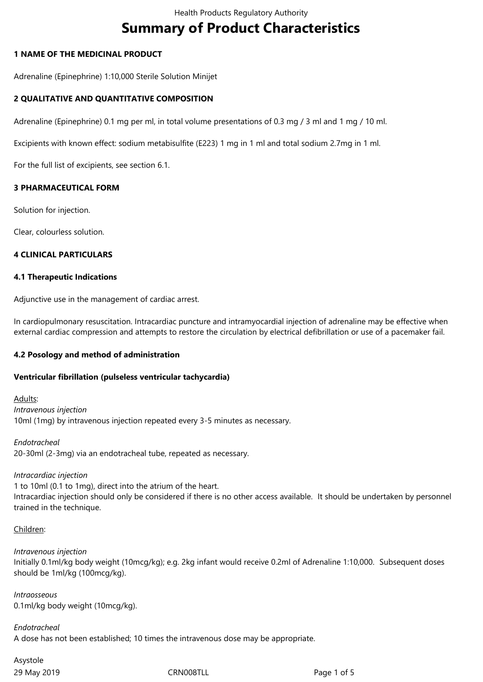# **Summary of Product Characteristics**

## **1 NAME OF THE MEDICINAL PRODUCT**

Adrenaline (Epinephrine) 1:10,000 Sterile Solution Minijet

## **2 QUALITATIVE AND QUANTITATIVE COMPOSITION**

Adrenaline (Epinephrine) 0.1 mg per ml, in total volume presentations of 0.3 mg / 3 ml and 1 mg / 10 ml.

Excipients with known effect: sodium metabisulfite (E223) 1 mg in 1 ml and total sodium 2.7mg in 1 ml.

For the full list of excipients, see section 6.1.

## **3 PHARMACEUTICAL FORM**

Solution for injection.

Clear, colourless solution.

#### **4 CLINICAL PARTICULARS**

#### **4.1 Therapeutic Indications**

Adjunctive use in the management of cardiac arrest.

In cardiopulmonary resuscitation. Intracardiac puncture and intramyocardial injection of adrenaline may be effective when external cardiac compression and attempts to restore the circulation by electrical defibrillation or use of a pacemaker fail.

# **4.2 Posology and method of administration**

#### **Ventricular fibrillation (pulseless ventricular tachycardia)**

Adults: *Intravenous injection* 10ml (1mg) by intravenous injection repeated every 3-5 minutes as necessary.

*Endotracheal* 20-30ml (2-3mg) via an endotracheal tube, repeated as necessary.

*Intracardiac injection* 1 to 10ml (0.1 to 1mg), direct into the atrium of the heart. Intracardiac injection should only be considered if there is no other access available. It should be undertaken by personnel trained in the technique.

#### Children:

*Intravenous injection* Initially 0.1ml/kg body weight (10mcg/kg); e.g. 2kg infant would receive 0.2ml of Adrenaline 1:10,000. Subsequent doses should be 1ml/kg (100mcg/kg).

*Intraosseous* 0.1ml/kg body weight (10mcg/kg).

# *Endotracheal*

A dose has not been established; 10 times the intravenous dose may be appropriate.

29 May 2019 **CRNOOSTLL** 29 May 2019 Asystole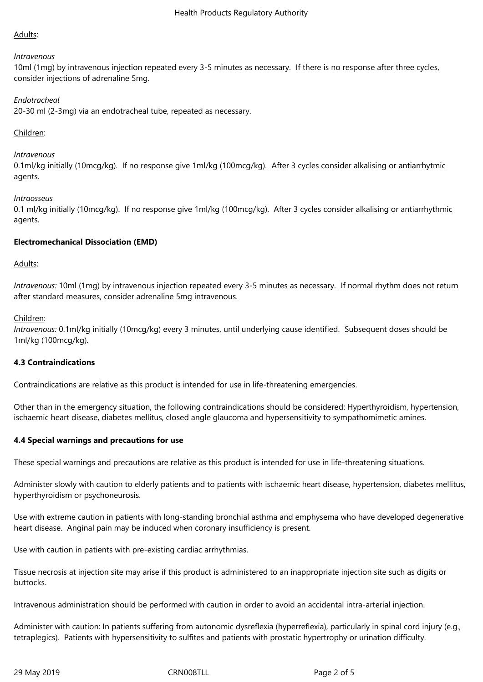## Adults:

#### *Intravenous*

10ml (1mg) by intravenous injection repeated every 3-5 minutes as necessary. If there is no response after three cycles, consider injections of adrenaline 5mg.

## *Endotracheal*

20-30 ml (2-3mg) via an endotracheal tube, repeated as necessary.

## Children:

#### *Intravenous*

0.1ml/kg initially (10mcg/kg). If no response give 1ml/kg (100mcg/kg). After 3 cycles consider alkalising or antiarrhytmic agents.

#### *Intraosseus*

0.1 ml/kg initially (10mcg/kg). If no response give 1ml/kg (100mcg/kg). After 3 cycles consider alkalising or antiarrhythmic agents.

## **Electromechanical Dissociation (EMD)**

## Adults:

*Intravenous:* 10ml (1mg) by intravenous injection repeated every 3-5 minutes as necessary. If normal rhythm does not return after standard measures, consider adrenaline 5mg intravenous.

#### Children:

*Intravenous:* 0.1ml/kg initially (10mcg/kg) every 3 minutes, until underlying cause identified. Subsequent doses should be 1ml/kg (100mcg/kg).

# **4.3 Contraindications**

Contraindications are relative as this product is intended for use in life-threatening emergencies.

Other than in the emergency situation, the following contraindications should be considered: Hyperthyroidism, hypertension, ischaemic heart disease, diabetes mellitus, closed angle glaucoma and hypersensitivity to sympathomimetic amines.

# **4.4 Special warnings and precautions for use**

These special warnings and precautions are relative as this product is intended for use in life-threatening situations.

Administer slowly with caution to elderly patients and to patients with ischaemic heart disease, hypertension, diabetes mellitus, hyperthyroidism or psychoneurosis.

Use with extreme caution in patients with long-standing bronchial asthma and emphysema who have developed degenerative heart disease. Anginal pain may be induced when coronary insufficiency is present.

Use with caution in patients with pre-existing cardiac arrhythmias.

Tissue necrosis at injection site may arise if this product is administered to an inappropriate injection site such as digits or buttocks.

Intravenous administration should be performed with caution in order to avoid an accidental intra-arterial injection.

Administer with caution: In patients suffering from autonomic dysreflexia (hyperreflexia), particularly in spinal cord injury (e.g., tetraplegics). Patients with hypersensitivity to sulfites and patients with prostatic hypertrophy or urination difficulty.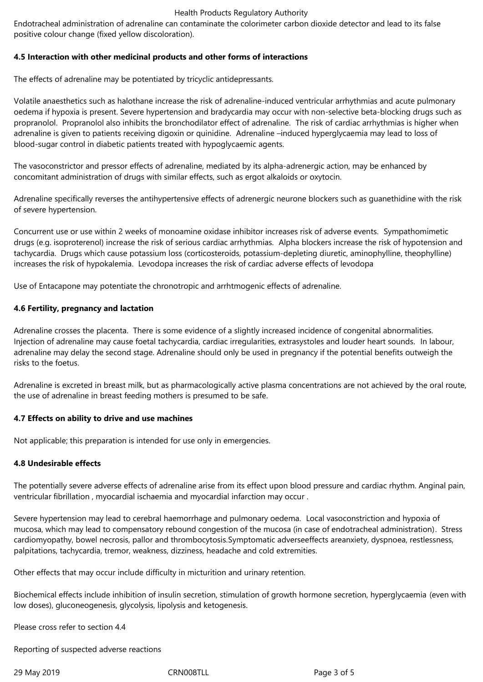#### Health Products Regulatory Authority

Endotracheal administration of adrenaline can contaminate the colorimeter carbon dioxide detector and lead to its false positive colour change (fixed yellow discoloration).

## **4.5 Interaction with other medicinal products and other forms of interactions**

The effects of adrenaline may be potentiated by tricyclic antidepressants.

Volatile anaesthetics such as halothane increase the risk of adrenaline-induced ventricular arrhythmias and acute pulmonary oedema if hypoxia is present. Severe hypertension and bradycardia may occur with non-selective beta-blocking drugs such as propranolol. Propranolol also inhibits the bronchodilator effect of adrenaline. The risk of cardiac arrhythmias is higher when adrenaline is given to patients receiving digoxin or quinidine. Adrenaline –induced hyperglycaemia may lead to loss of blood-sugar control in diabetic patients treated with hypoglycaemic agents.

The vasoconstrictor and pressor effects of adrenaline, mediated by its alpha-adrenergic action, may be enhanced by concomitant administration of drugs with similar effects, such as ergot alkaloids or oxytocin.

Adrenaline specifically reverses the antihypertensive effects of adrenergic neurone blockers such as guanethidine with the risk of severe hypertension.

Concurrent use or use within 2 weeks of monoamine oxidase inhibitor increases risk of adverse events. Sympathomimetic drugs (e.g. isoproterenol) increase the risk of serious cardiac arrhythmias. Alpha blockers increase the risk of hypotension and tachycardia. Drugs which cause potassium loss (corticosteroids, potassium-depleting diuretic, aminophylline, theophylline) increases the risk of hypokalemia. Levodopa increases the risk of cardiac adverse effects of levodopa

Use of Entacapone may potentiate the chronotropic and arrhtmogenic effects of adrenaline.

## **4.6 Fertility, pregnancy and lactation**

Adrenaline crosses the placenta. There is some evidence of a slightly increased incidence of congenital abnormalities. Injection of adrenaline may cause foetal tachycardia, cardiac irregularities, extrasystoles and louder heart sounds. In labour, adrenaline may delay the second stage. Adrenaline should only be used in pregnancy if the potential benefits outweigh the risks to the foetus.

Adrenaline is excreted in breast milk, but as pharmacologically active plasma concentrations are not achieved by the oral route, the use of adrenaline in breast feeding mothers is presumed to be safe.

#### **4.7 Effects on ability to drive and use machines**

Not applicable; this preparation is intended for use only in emergencies.

#### **4.8 Undesirable effects**

The potentially severe adverse effects of adrenaline arise from its effect upon blood pressure and cardiac rhythm. Anginal pain, ventricular fibrillation , myocardial ischaemia and myocardial infarction may occur .

Severe hypertension may lead to cerebral haemorrhage and pulmonary oedema. Local vasoconstriction and hypoxia of mucosa, which may lead to compensatory rebound congestion of the mucosa (in case of endotracheal administration). Stress cardiomyopathy, bowel necrosis, pallor and thrombocytosis.Symptomatic adverseeffects areanxiety, dyspnoea, restlessness, palpitations, tachycardia, tremor, weakness, dizziness, headache and cold extremities.

Other effects that may occur include difficulty in micturition and urinary retention.

Biochemical effects include inhibition of insulin secretion, stimulation of growth hormone secretion, hyperglycaemia (even with low doses), gluconeogenesis, glycolysis, lipolysis and ketogenesis.

Please cross refer to section 4.4

Reporting of suspected adverse reactions

29 May 2019 **CRNOOSTLL** CRNOOSTLL **Page 3 of 5**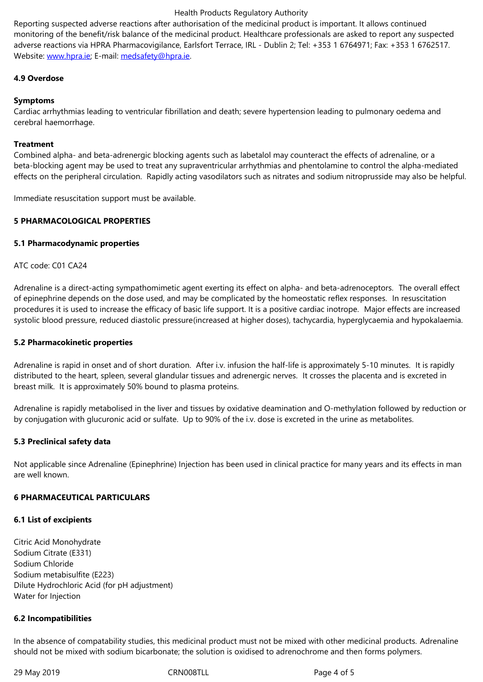adverse reactions via HPRA Pharmacovigilance, Earlsfort Terrace, IRL - Dublin 2; Tel: +353 1 6764971; Fax: +353 1 6762517. Website: www.hpra.ie; E-mail: medsafety@hpra.ie.

## **4.9 Overdose**

## **Sympto[ms](http://www.hpra.ie/)**

Cardiac arrhythmias leading to ventricular fibrillation and death; severe hypertension leading to pulmonary oedema and cerebral haemorrhage.

## **Treatment**

Combined alpha- and beta-adrenergic blocking agents such as labetalol may counteract the effects of adrenaline, or a beta-blocking agent may be used to treat any supraventricular arrhythmias and phentolamine to control the alpha-mediated effects on the peripheral circulation. Rapidly acting vasodilators such as nitrates and sodium nitroprusside may also be helpful.

Immediate resuscitation support must be available.

## **5 PHARMACOLOGICAL PROPERTIES**

#### **5.1 Pharmacodynamic properties**

## ATC code: C01 CA24

Adrenaline is a direct-acting sympathomimetic agent exerting its effect on alpha- and beta-adrenoceptors. The overall effect of epinephrine depends on the dose used, and may be complicated by the homeostatic reflex responses. In resuscitation procedures it is used to increase the efficacy of basic life support. It is a positive cardiac inotrope. Major effects are increased systolic blood pressure, reduced diastolic pressure(increased at higher doses), tachycardia, hyperglycaemia and hypokalaemia.

#### **5.2 Pharmacokinetic properties**

Adrenaline is rapid in onset and of short duration. After i.v. infusion the half-life is approximately 5-10 minutes. It is rapidly distributed to the heart, spleen, several glandular tissues and adrenergic nerves. It crosses the placenta and is excreted in breast milk. It is approximately 50% bound to plasma proteins.

Adrenaline is rapidly metabolised in the liver and tissues by oxidative deamination and O-methylation followed by reduction or by conjugation with glucuronic acid or sulfate. Up to 90% of the i.v. dose is excreted in the urine as metabolites.

#### **5.3 Preclinical safety data**

Not applicable since Adrenaline (Epinephrine) Injection has been used in clinical practice for many years and its effects in man are well known.

#### **6 PHARMACEUTICAL PARTICULARS**

#### **6.1 List of excipients**

Citric Acid Monohydrate Sodium Citrate (E331) Sodium Chloride Sodium metabisulfite (E223) Dilute Hydrochloric Acid (for pH adjustment) Water for Injection

#### **6.2 Incompatibilities**

In the absence of compatability studies, this medicinal product must not be mixed with other medicinal products. Adrenaline should not be mixed with sodium bicarbonate; the solution is oxidised to adrenochrome and then forms polymers.